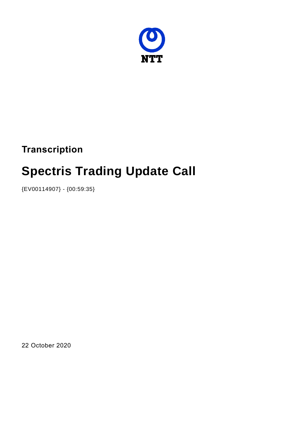

# **Transcription**

# **Spectris Trading Update Call**

{EV00114907} - {00:59:35}

22 October 2020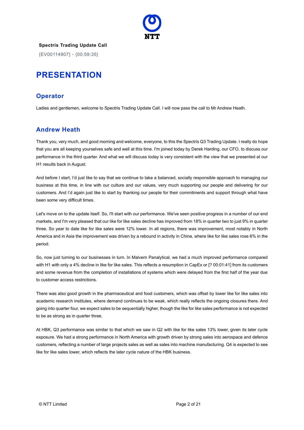

**Spectris Trading Update Call** {EV00114907} - {00:59:35}

# **PRESENTATION**

#### **Operator**

Ladies and gentlemen, welcome to Spectris Trading Update Call. I will now pass the call to Mr Andrew Heath.

## **Andrew Heath**

Thank you, very much, and good morning and welcome, everyone, to this the Spectris Q3 Trading Update. I really do hope that you are all keeping yourselves safe and well at this time. I'm joined today by Derek Harding, our CFO, to discuss our performance in the third quarter. And what we will discuss today is very consistent with the view that we presented at our H1 results back in August.

And before I start, I'd just like to say that we continue to take a balanced, socially responsible approach to managing our business at this time, in line with our culture and our values, very much supporting our people and delivering for our customers. And I'd again just like to start by thanking our people for their commitments and support through what have been some very difficult times.

Let's move on to the update itself. So, I'll start with our performance. We've seen positive progress in a number of our end markets, and I'm very pleased that our like for like sales decline has improved from 18% in quarter two to just 9% in quarter three. So year to date like for like sales were 12% lower. In all regions, there was improvement, most notably in North America and in Asia the improvement was driven by a rebound in activity in China, where like for like sales rose 6% in the period.

So, now just turning to our businesses in turn. In Malvern Panalytical, we had a much improved performance compared with H1 with only a 4% decline in like for like sales. This reflects a resumption in CapEx or [? 00:01:41] from its customers and some revenue from the completion of installations of systems which were delayed from the first half of the year due to customer access restrictions.

There was also good growth in the pharmaceutical and food customers, which was offset by lower like for like sales into academic research institutes, where demand continues to be weak, which really reflects the ongoing closures there. And going into quarter four, we expect sales to be sequentially higher, though the like for like sales performance is not expected to be as strong as in quarter three.

At HBK, Q3 performance was similar to that which we saw in Q2 with like for like sales 13% lower, given its later cycle exposure. We had a strong performance in North America with growth driven by strong sales into aerospace and defence customers, reflecting a number of large projects sales as well as sales into machine manufacturing. Q4 is expected to see like for like sales lower, which reflects the later cycle nature of the HBK business.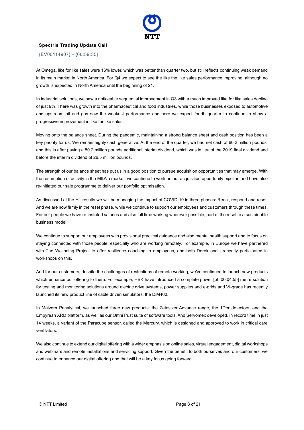

{EV00114907} - {00:59:35}

At Omega, like for like sales were 16% lower, which was better than quarter two, but still reflects continuing weak demand in its main market in North America. For Q4 we expect to see the like the like sales performance improving, although no growth is expected in North America until the beginning of 21.

In industrial solutions, we saw a noticeable sequential improvement in Q3 with a much improved like for like sales decline of just 9%. There was growth into the pharmaceutical and food industries, while those businesses exposed to automotive and upstream oil and gas saw the weakest performance and here we expect fourth quarter to continue to show a progressive improvement in like for like sales.

Moving onto the balance sheet. During the pandemic, maintaining a strong balance sheet and cash position has been a key priority for us. We remain highly cash generative. At the end of the quarter, we had net cash of 60.2 million pounds, and this is after paying a 50.2 million pounds additional interim dividend, which was in lieu of the 2019 final dividend and before the interim dividend of 26.5 million pounds.

The strength of our balance sheet has put us in a good position to pursue acquisition opportunities that may emerge. With the resumption of activity in the M&A a market, we continue to work on our acquisition opportunity pipeline and have also re-initiated our sale programme to deliver our portfolio optimisation.

As discussed at the H1 results we will be managing the impact of COVID-19 in three phases: React, respond and reset. And we are now firmly in the reset phase, while we continue to support our employees and customers through these times. For our people we have re-instated salaries and also full time working wherever possible, part of the reset to a sustainable business model.

We continue to support our employees with provisional practical guidance and also mental health support and to focus on staying connected with those people, especially who are working remotely. For example, in Europe we have partnered with The Wellbeing Project to offer resilience coaching to employees, and both Derek and I recently participated in workshops on this.

And for our customers, despite the challenges of restrictions of remote working, we've continued to launch new products which enhance our offering to them. For example, HBK have introduced a complete power [ph 00:04:55] metre solution for testing and monitoring solutions around electric drive systems, power supplies and e-grids and VI-grade has recently launched its new product line of cable driven simulators, the DiM400.

In Malvern Panalytical, we launched three new products: the Zetasizer Advance range, the 1Der detectors, and the Empyrean XRD platform, as well as our OmniTrust suite of software tools. And Servomex developed, in record time in just 14 weeks, a variant of the Paracube sensor, called the Mercury, which is designed and approved to work in critical care ventilators.

We also continue to extend our digital offering with a wider emphasis on online sales, virtual engagement, digital workshops and webinars and remote installations and servicing support. Given the benefit to both ourselves and our customers, we continue to enhance our digital offering and that will be a key focus going forward.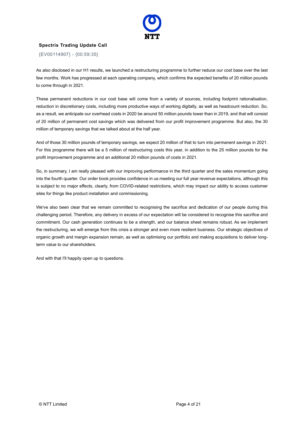

{EV00114907} - {00:59:35}

As also disclosed in our H1 results, we launched a restructuring programme to further reduce our cost base over the last few months. Work has progressed at each operating company, which confirms the expected benefits of 20 million pounds to come through in 2021.

These permanent reductions in our cost base will come from a variety of sources, including footprint rationalisation, reduction in discretionary costs, including more productive ways of working digitally, as well as headcount reduction. So, as a result, we anticipate our overhead costs in 2020 be around 50 million pounds lower than in 2019, and that will consist of 20 million of permanent cost savings which was delivered from our profit improvement programme. But also, the 30 million of temporary savings that we talked about at the half year.

And of those 30 million pounds of temporary savings, we expect 20 million of that to turn into permanent savings in 2021. For this programme there will be a 5 million of restructuring costs this year, in addition to the 25 million pounds for the profit improvement programme and an additional 20 million pounds of costs in 2021.

So, in summary, I am really pleased with our improving performance in the third quarter and the sales momentum going into the fourth quarter. Our order book provides confidence in us meeting our full year revenue expectations, although this is subject to no major effects, clearly, from COVID-related restrictions, which may impact our ability to access customer sites for things like product installation and commissioning.

We've also been clear that we remain committed to recognising the sacrifice and dedication of our people during this challenging period. Therefore, any delivery in excess of our expectation will be considered to recognise this sacrifice and commitment. Our cash generation continues to be a strength, and our balance sheet remains robust. As we implement the restructuring, we will emerge from this crisis a stronger and even more resilient business. Our strategic objectives of organic growth and margin expansion remain, as well as optimising our portfolio and making acquisitions to deliver longterm value to our shareholders.

And with that I'll happily open up to questions.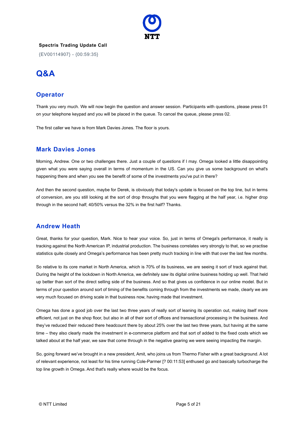

{EV00114907} - {00:59:35}

# **Q&A**

## **Operator**

Thank you very much. We will now begin the question and answer session. Participants with questions, please press 01 on your telephone keypad and you will be placed in the queue. To cancel the queue, please press 02.

The first caller we have is from Mark Davies Jones. The floor is yours.

#### **Mark Davies Jones**

Morning, Andrew. One or two challenges there. Just a couple of questions if I may. Omega looked a little disappointing given what you were saying overall in terms of momentum in the US. Can you give us some background on what's happening there and when you see the benefit of some of the investments you've put in there?

And then the second question, maybe for Derek, is obviously that today's update is focused on the top line, but in terms of conversion, are you still looking at the sort of drop throughs that you were flagging at the half year, i.e. higher drop through in the second half; 40/50% versus the 32% in the first half? Thanks.

#### **Andrew Heath**

Great, thanks for your question, Mark. Nice to hear your voice. So, just in terms of Omega's performance, it really is tracking against the North American IP, industrial production. The business correlates very strongly to that, so we practise statistics quite closely and Omega's performance has been pretty much tracking in line with that over the last few months.

So relative to its core market in North America, which is 70% of its business, we are seeing it sort of track against that. During the height of the lockdown in North America, we definitely saw its digital online business holding up well. That held up better than sort of the direct selling side of the business. And so that gives us confidence in our online model. But in terms of your question around sort of timing of the benefits coming through from the investments we made, clearly we are very much focused on driving scale in that business now, having made that investment.

Omega has done a good job over the last two three years of really sort of leaning its operation out, making itself more efficient, not just on the shop floor, but also in all of their sort of offices and transactional processing in the business. And they've reduced their reduced there headcount there by about 25% over the last two three years, but having at the same time – they also clearly made the investment in e-commerce platform and that sort of added to the fixed costs which we talked about at the half year, we saw that come through in the negative gearing we were seeing impacting the margin.

So, going forward we've brought in a new president, Amit, who joins us from Thermo Fisher with a great background. A lot of relevant experience, not least for his time running Cole-Parmer [? 00:11:53] enthused go and basically turbocharge the top line growth in Omega. And that's really where would be the focus.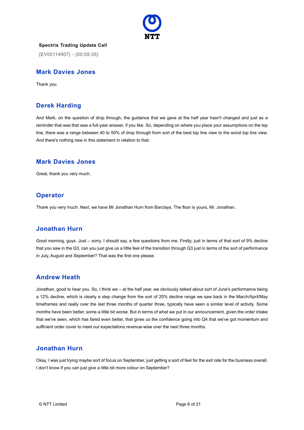

{EV00114907} - {00:59:35}

#### **Mark Davies Jones**

Thank you.

#### **Derek Harding**

And Mark, on the question of drop through, the guidance that we gave at the half year hasn't changed and just as a reminder that was that was a full-year answer, if you like. So, depending on where you place your assumptions on the top line, there was a range between 40 to 50% of drop through from sort of the best top line view to the worst top line view. And there's nothing new in this statement in relation to that.

#### **Mark Davies Jones**

Great, thank you very much.

#### **Operator**

Thank you very much. Next, we have Mr Jonathan Hurn from Barclays. The floor is yours, Mr. Jonathan.

#### **Jonathan Hurn**

Good morning, guys. Just – sorry, I should say, a few questions from me. Firstly, just in terms of that sort of 9% decline that you saw in the Q3, can you just give us a little feel of the transition through Q3 just in terms of the sort of performance in July, August and September? That was the first one please.

#### **Andrew Heath**

Jonathan, good to hear you. So, I think we – at the half year, we obviously talked about sort of June's performance being a 12% decline, which is clearly a step change from the sort of 20% decline range we saw back in the March/April/May timeframes and really over the last three months of quarter three, typically have seen a similar level of activity. Some months have been better, some a little bit worse. But in terms of what we put in our announcement, given the order intake that we've seen, which has fared even better, that gives us the confidence going into Q4 that we've got momentum and sufficient order cover to meet our expectations revenue-wise over the next three months.

#### **Jonathan Hurn**

Okay, I was just trying maybe sort of focus on September, just getting a sort of feel for the exit rate for the business overall. I don't know if you can just give a little bit more colour on September?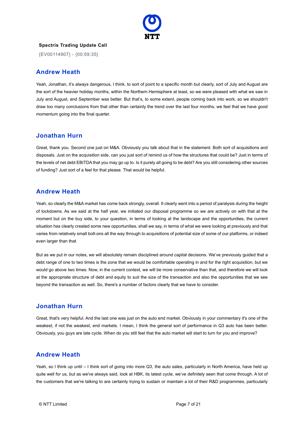

{EV00114907} - {00:59:35}

#### **Andrew Heath**

Yeah, Jonathan, it's always dangerous, I think, to sort of point to a specific month but clearly, sort of July and August are the sort of the heavier holiday months, within the Northern Hemisphere at least, so we were pleased with what we saw in July and August, and September was better. But that's, to some extent, people coming back into work, so we shouldn't draw too many conclusions from that other than certainly the trend over the last four months, we feel that we have good momentum going into the final quarter.

#### **Jonathan Hurn**

Great, thank you. Second one just on M&A. Obviously you talk about that in the statement. Both sort of acquisitions and disposals. Just on the acquisition side, can you just sort of remind us of how the structures that could be? Just in terms of the levels of net debt EBITDA that you may go up to. Is it purely all going to be debt? Are you still considering other sources of funding? Just sort of a feel for that please. That would be helpful.

#### **Andrew Heath**

Yeah, so clearly the M&A market has come back strongly, overall. It clearly went into a period of paralysis during the height of lockdowns. As we said at the half year, we initiated our disposal programme so we are actively on with that at the moment but on the buy side, to your question, in terms of looking at the landscape and the opportunities, the current situation has clearly created some new opportunities, shall we say, in terms of what we were looking at previously and that varies from relatively small bolt-ons all the way through to acquisitions of potential size of some of our platforms, or indeed even larger than that.

But as we put in our notes, we will absolutely remain disciplined around capital decisions. We've previously guided that a debt range of one to two times is the zone that we would be comfortable operating in and for the right acquisition, but we would go above two times. Now, in the current context, we will be more conservative than that, and therefore we will look at the appropriate structure of debt and equity to suit the size of the transaction and also the opportunities that we see beyond the transaction as well. So, there's a number of factors clearly that we have to consider.

#### **Jonathan Hurn**

Great, that's very helpful. And the last one was just on the auto end market. Obviously in your commentary it's one of the weakest, if not the weakest, end markets. I mean, I think the general sort of performance in Q3 auto has been better. Obviously, you guys are late cycle. When do you still feel that the auto market will start to turn for you and improve?

#### **Andrew Heath**

Yeah, so I think up until – I think sort of going into more Q3, the auto sales, particularly in North America, have held up quite well for us, but as we've always said, look at HBK, its latest cycle, we've definitely seen that come through. A lot of the customers that we're talking to are certainly trying to sustain or maintain a lot of their R&D programmes, particularly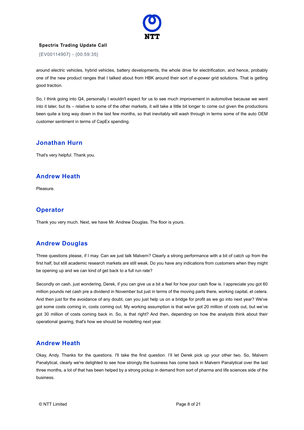

{EV00114907} - {00:59:35}

around electric vehicles, hybrid vehicles, battery developments, the whole drive for electrification, and hence, probably one of the new product ranges that I talked about from HBK around their sort of e-power grid solutions. That is getting good traction.

So, I think going into Q4, personally I wouldn't expect for us to see much improvement in automotive because we went into it later, but its – relative to some of the other markets, it will take a little bit longer to come out given the productions been quite a long way down in the last few months, so that inevitably will wash through in terms some of the auto OEM customer sentiment in terms of CapEx spending.

#### **Jonathan Hurn**

That's very helpful. Thank you.

#### **Andrew Heath**

Pleasure.

## **Operator**

Thank you very much. Next, we have Mr. Andrew Douglas. The floor is yours.

## **Andrew Douglas**

Three questions please, if I may. Can we just talk Malvern? Clearly a strong performance with a bit of catch up from the first half, but still academic research markets are still weak. Do you have any indications from customers when they might be opening up and we can kind of get back to a full run rate?

Secondly on cash, just wondering, Derek, if you can give us a bit a feel for how your cash flow is. I appreciate you got 60 million pounds net cash pre a dividend in November but just in terms of the moving parts there, working capital, et cetera. And then just for the avoidance of any doubt, can you just help us on a bridge for profit as we go into next year? We've got some costs coming in, costs coming out. My working assumption is that we've got 20 million of costs out, but we've got 30 million of costs coming back in. So, is that right? And then, depending on how the analysts think about their operational gearing, that's how we should be modelling next year.

#### **Andrew Heath**

Okay, Andy. Thanks for the questions. I'll take the first question. I'll let Derek pick up your other two. So, Malvern Panalytical, clearly we're delighted to see how strongly the business has come back in Malvern Panalytical over the last three months, a lot of that has been helped by a strong pickup in demand from sort of pharma and life sciences side of the business.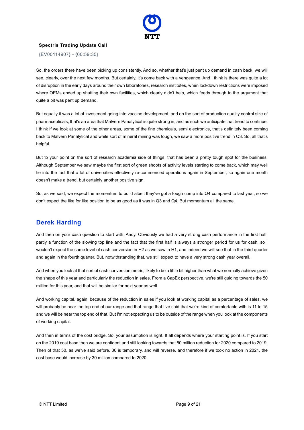

{EV00114907} - {00:59:35}

So, the orders there have been picking up consistently. And so, whether that's just pent up demand in cash back, we will see, clearly, over the next few months. But certainly, it's come back with a vengeance. And I think is there was quite a lot of disruption in the early days around their own laboratories, research institutes, when lockdown restrictions were imposed where OEMs ended up shutting their own facilities, which clearly didn't help, which feeds through to the argument that quite a bit was pent up demand.

But equally it was a lot of investment going into vaccine development, and on the sort of production quality control size of pharmaceuticals, that's an area that Malvern Panalytical is quite strong in, and as such we anticipate that trend to continue. I think if we look at some of the other areas, some of the fine chemicals, semi electronics, that's definitely been coming back to Malvern Panalytical and while sort of mineral mining was tough, we saw a more positive trend in Q3. So, all that's helpful.

But to your point on the sort of research academia side of things, that has been a pretty tough spot for the business. Although September we saw maybe the first sort of green shoots of activity levels starting to come back, which may well tie into the fact that a lot of universities effectively re-commenced operations again in September, so again one month doesn't make a trend, but certainly another positive sign.

So, as we said, we expect the momentum to build albeit they've got a tough comp into Q4 compared to last year, so we don't expect the like for like position to be as good as it was in Q3 and Q4. But momentum all the same.

#### **Derek Harding**

And then on your cash question to start with, Andy. Obviously we had a very strong cash performance in the first half, partly a function of the slowing top line and the fact that the first half is always a stronger period for us for cash, so I wouldn't expect the same level of cash conversion in H2 as we saw in H1, and indeed we will see that in the third quarter and again in the fourth quarter. But, notwithstanding that, we still expect to have a very strong cash year overall.

And when you look at that sort of cash conversion metric, likely to be a little bit higher than what we normally achieve given the shape of this year and particularly the reduction in sales. From a CapEx perspective, we're still guiding towards the 50 million for this year, and that will be similar for next year as well.

And working capital, again, because of the reduction in sales if you look at working capital as a percentage of sales, we will probably be near the top end of our range and that range that I've said that we're kind of comfortable with is 11 to 15 and we will be near the top end of that. But I'm not expecting us to be outside of the range when you look at the components of working capital.

And then in terms of the cost bridge. So, your assumption is right. It all depends where your starting point is. If you start on the 2019 cost base then we are confident and still looking towards that 50 million reduction for 2020 compared to 2019. Then of that 50, as we've said before, 30 is temporary, and will reverse, and therefore if we took no action in 2021, the cost base would increase by 30 million compared to 2020.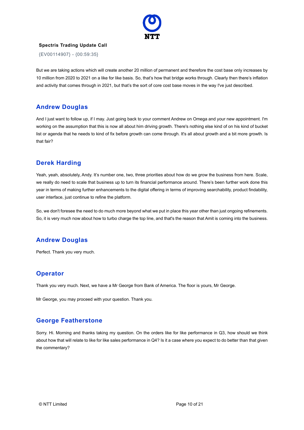

{EV00114907} - {00:59:35}

But we are taking actions which will create another 20 million of permanent and therefore the cost base only increases by 10 million from 2020 to 2021 on a like for like basis. So, that's how that bridge works through. Clearly then there's inflation and activity that comes through in 2021, but that's the sort of core cost base moves in the way I've just described.

## **Andrew Douglas**

And I just want to follow up, if I may. Just going back to your comment Andrew on Omega and your new appointment. I'm working on the assumption that this is now all about him driving growth. There's nothing else kind of on his kind of bucket list or agenda that he needs to kind of fix before growth can come through. It's all about growth and a bit more growth. Is that fair?

## **Derek Harding**

Yeah, yeah, absolutely, Andy. It's number one, two, three priorities about how do we grow the business from here. Scale, we really do need to scale that business up to turn its financial performance around. There's been further work done this year in terms of making further enhancements to the digital offering in terms of improving searchability, product findability, user interface, just continue to refine the platform.

So, we don't foresee the need to do much more beyond what we put in place this year other than just ongoing refinements. So, it is very much now about how to turbo charge the top line, and that's the reason that Amit is coming into the business.

## **Andrew Douglas**

Perfect. Thank you very much.

## **Operator**

Thank you very much. Next, we have a Mr George from Bank of America. The floor is yours, Mr George.

Mr George, you may proceed with your question. Thank you.

#### **George Featherstone**

Sorry. Hi. Morning and thanks taking my question. On the orders like for like performance in Q3, how should we think about how that will relate to like for like sales performance in Q4? Is it a case where you expect to do better than that given the commentary?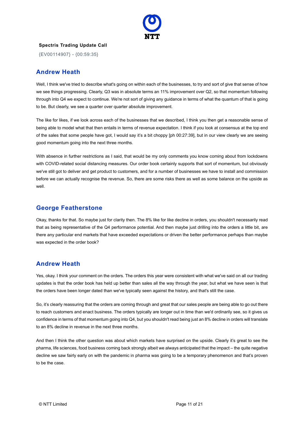

{EV00114907} - {00:59:35}

#### **Andrew Heath**

Well, I think we've tried to describe what's going on within each of the businesses, to try and sort of give that sense of how we see things progressing. Clearly, Q3 was in absolute terms an 11% improvement over Q2, so that momentum following through into Q4 we expect to continue. We're not sort of giving any guidance in terms of what the quantum of that is going to be. But clearly, we see a quarter over quarter absolute improvement.

The like for likes, if we look across each of the businesses that we described, I think you then get a reasonable sense of being able to model what that then entails in terms of revenue expectation. I think if you look at consensus at the top end of the sales that some people have got, I would say it's a bit choppy [ph 00:27:39], but in our view clearly we are seeing good momentum going into the next three months.

With absence in further restrictions as I said, that would be my only comments you know coming about from lockdowns with COVID-related social distancing measures. Our order book certainly supports that sort of momentum, but obviously we've still got to deliver and get product to customers, and for a number of businesses we have to install and commission before we can actually recognise the revenue. So, there are some risks there as well as some balance on the upside as well.

#### **George Featherstone**

Okay, thanks for that. So maybe just for clarity then. The 8% like for like decline in orders, you shouldn't necessarily read that as being representative of the Q4 performance potential. And then maybe just drilling into the orders a little bit, are there any particular end markets that have exceeded expectations or driven the better performance perhaps than maybe was expected in the order book?

## **Andrew Heath**

Yes, okay. I think your comment on the orders. The orders this year were consistent with what we've said on all our trading updates is that the order book has held up better than sales all the way through the year, but what we have seen is that the orders have been longer dated than we've typically seen against the history, and that's still the case.

So, it's clearly reassuring that the orders are coming through and great that our sales people are being able to go out there to reach customers and enact business. The orders typically are longer out in time than we'd ordinarily see, so it gives us confidence in terms of that momentum going into Q4, but you shouldn't read being just an 8% decline in orders will translate to an 8% decline in revenue in the next three months.

And then I think the other question was about which markets have surprised on the upside. Clearly it's great to see the pharma, life sciences, food business coming back strongly albeit we always anticipated that the impact – the quite negative decline we saw fairly early on with the pandemic in pharma was going to be a temporary phenomenon and that's proven to be the case.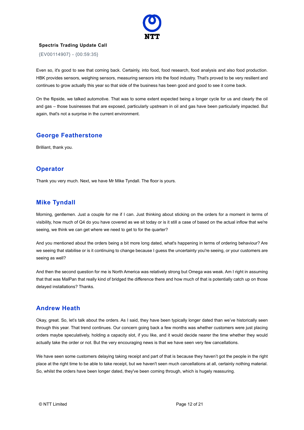

{EV00114907} - {00:59:35}

Even so, it's good to see that coming back. Certainly, into food, food research, food analysis and also food production. HBK provides sensors, weighing sensors, measuring sensors into the food industry. That's proved to be very resilient and continues to grow actually this year so that side of the business has been good and good to see it come back.

On the flipside, we talked automotive. That was to some extent expected being a longer cycle for us and clearly the oil and gas – those businesses that are exposed, particularly upstream in oil and gas have been particularly impacted. But again, that's not a surprise in the current environment.

#### **George Featherstone**

Brilliant, thank you.

#### **Operator**

Thank you very much. Next, we have Mr Mike Tyndall. The floor is yours.

#### **Mike Tyndall**

Morning, gentlemen. Just a couple for me if I can. Just thinking about sticking on the orders for a moment in terms of visibility, how much of Q4 do you have covered as we sit today or is it still a case of based on the actual inflow that we're seeing, we think we can get where we need to get to for the quarter?

And you mentioned about the orders being a bit more long dated, what's happening in terms of ordering behaviour? Are we seeing that stabilise or is it continuing to change because I guess the uncertainty you're seeing, or your customers are seeing as well?

And then the second question for me is North America was relatively strong but Omega was weak. Am I right in assuming that that was MalPan that really kind of bridged the difference there and how much of that is potentially catch up on those delayed installations? Thanks.

#### **Andrew Heath**

Okay, great. So, let's talk about the orders. As I said, they have been typically longer dated than we've historically seen through this year. That trend continues. Our concern going back a few months was whether customers were just placing orders maybe speculatively, holding a capacity slot, if you like, and it would decide nearer the time whether they would actually take the order or not. But the very encouraging news is that we have seen very few cancellations.

We have seen some customers delaying taking receipt and part of that is because they haven't got the people in the right place at the right time to be able to take receipt, but we haven't seen much cancellations at all, certainly nothing material. So, whilst the orders have been longer dated, they've been coming through, which is hugely reassuring.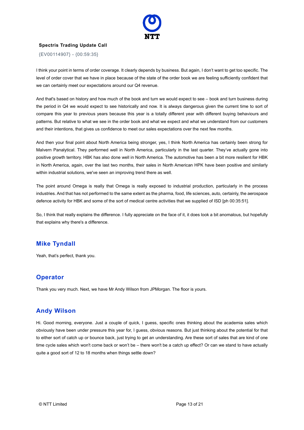

{EV00114907} - {00:59:35}

I think your point in terms of order coverage. It clearly depends by business. But again, I don't want to get too specific. The level of order cover that we have in place because of the state of the order book we are feeling sufficiently confident that we can certainly meet our expectations around our Q4 revenue.

And that's based on history and how much of the book and turn we would expect to see – book and turn business during the period in Q4 we would expect to see historically and now. It is always dangerous given the current time to sort of compare this year to previous years because this year is a totally different year with different buying behaviours and patterns. But relative to what we see in the order book and what we expect and what we understand from our customers and their intentions, that gives us confidence to meet our sales expectations over the next few months.

And then your final point about North America being stronger, yes, I think North America has certainly been strong for Malvern Panalytical. They performed well in North America, particularly in the last quarter. They've actually gone into positive growth territory. HBK has also done well in North America. The automotive has been a bit more resilient for HBK in North America, again, over the last two months, their sales in North American HPK have been positive and similarly within industrial solutions, we've seen an improving trend there as well.

The point around Omega is really that Omega is really exposed to industrial production, particularly in the process industries. And that has not performed to the same extent as the pharma, food, life sciences, auto, certainly, the aerospace defence activity for HBK and some of the sort of medical centre activities that we supplied of ISD [ph 00:35:51].

So, I think that really explains the difference. I fully appreciate on the face of it, it does look a bit anomalous, but hopefully that explains why there's a difference.

#### **Mike Tyndall**

Yeah, that's perfect, thank you.

## **Operator**

Thank you very much. Next, we have Mr Andy Wilson from JPMorgan. The floor is yours.

#### **Andy Wilson**

Hi. Good morning, everyone. Just a couple of quick, I guess, specific ones thinking about the academia sales which obviously have been under pressure this year for, I guess, obvious reasons. But just thinking about the potential for that to either sort of catch up or bounce back, just trying to get an understanding. Are these sort of sales that are kind of one time cycle sales which won't come back or won't be – there won't be a catch up effect? Or can we stand to have actually quite a good sort of 12 to 18 months when things settle down?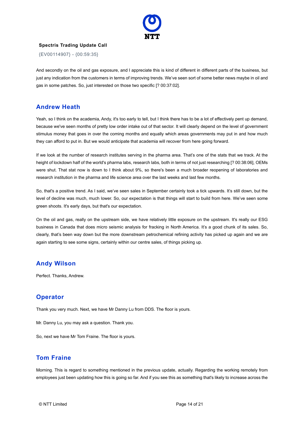

{EV00114907} - {00:59:35}

And secondly on the oil and gas exposure, and I appreciate this is kind of different in different parts of the business, but just any indication from the customers in terms of improving trends. We've seen sort of some better news maybe in oil and gas in some patches. So, just interested on those two specific [? 00:37:02].

## **Andrew Heath**

Yeah, so I think on the academia, Andy, it's too early to tell, but I think there has to be a lot of effectively pent up demand, because we've seen months of pretty low order intake out of that sector. It will clearly depend on the level of government stimulus money that goes in over the coming months and equally which areas governments may put in and how much they can afford to put in. But we would anticipate that academia will recover from here going forward.

If we look at the number of research institutes serving in the pharma area. That's one of the stats that we track. At the height of lockdown half of the world's pharma labs, research labs, both in terms of not just researching [? 00:38:06], OEMs were shut. That stat now is down to I think about 9%, so there's been a much broader reopening of laboratories and research institution in the pharma and life science area over the last weeks and last few months.

So, that's a positive trend. As I said, we've seen sales in September certainly took a tick upwards. It's still down, but the level of decline was much, much lower. So, our expectation is that things will start to build from here. We've seen some green shoots. It's early days, but that's our expectation.

On the oil and gas, really on the upstream side, we have relatively little exposure on the upstream. It's really our ESG business in Canada that does micro seismic analysis for fracking in North America. It's a good chunk of its sales. So, clearly, that's been way down but the more downstream petrochemical refining activity has picked up again and we are again starting to see some signs, certainly within our centre sales, of things picking up.

## **Andy Wilson**

Perfect. Thanks, Andrew.

## **Operator**

Thank you very much. Next, we have Mr Danny Lu from DDS. The floor is yours.

Mr. Danny Lu, you may ask a question. Thank you.

So, next we have Mr Tom Fraine. The floor is yours.

## **Tom Fraine**

Morning. This is regard to something mentioned in the previous update, actually. Regarding the working remotely from employees just been updating how this is going so far. And if you see this as something that's likely to increase across the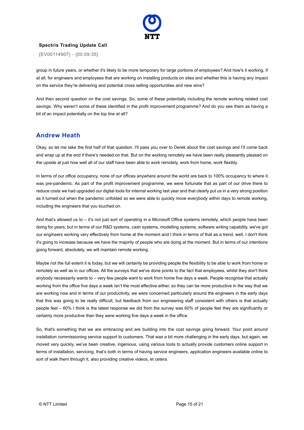

{EV00114907} - {00:59:35}

group in future years, or whether it's likely to be more temporary for large portions of employees? And how's it working, if at all, for engineers and employees that are working on installing products on sites and whether this is having any impact on the service they're delivering and potential cross selling opportunities and new wins?

And then second question on the cost savings. So, some of these potentially including the remote working related cost savings. Why weren't some of these identified in the profit improvement programme? And do you see them as having a bit of an impact potentially on the top line at all?

#### **Andrew Heath**

Okay, so let me take the first half of that question. I'll pass you over to Derek about the cost savings and I'll come back and wrap up at the end if there's needed on that. But on the working remotely we have been really pleasantly pleased on the upside at just how well all of our staff have been able to work remotely, work from home, work flexibly.

In terms of our office occupancy, none of our offices anywhere around the world are back to 100% occupancy to where it was pre-pandemic. As part of the profit improvement programme, we were fortunate that as part of our drive there to reduce costs we had upgraded our digital tools for internal working last year and that clearly put us in a very strong position as it turned out when the pandemic unfolded so we were able to quickly move everybody within days to remote working, including the engineers that you touched on.

And that's allowed us to – it's not just sort of operating in a Microsoft Office systems remotely, which people have been doing for years, but in terms of our R&D systems, cash systems, modelling systems, software writing capability, we've got our engineers working very effectively from home at the moment and I think in terms of that as a trend, well, I don't think it's going to increase because we have the majority of people who are doing at the moment. But in terms of our intentions going forward, absolutely, we will maintain remote working.

Maybe not the full extent it is today, but we will certainly be providing people the flexibility to be able to work from home or remotely as well as in our offices. All the surveys that we've done points to the fact that employees, whilst they don't think anybody necessarily wants to – very few people want to work from home five days a week. People recognise that actually working from the office five days a week isn't the most effective either, so they can be more productive in the way that we are working now and in terms of our productivity, we were concerned particularly around the engineers in the early days that this was going to be really difficult, but feedback from our engineering staff consistent with others is that actually people feel – 60% I think is the latest response we did from the survey was 60% of people feel they are significantly or certainly more productive than they were working five days a week in the office.

So, that's something that we are embracing and are building into the cost savings going forward. Your point around installation commissioning service support to customers. That was a bit more challenging in the early days, but again, we moved very quickly, we've been creative, ingenious, using various tools to actually provide customers online support in terms of installation, servicing, that's both in terms of having service engineers, application engineers available online to sort of walk them through it, also providing creative videos, et cetera.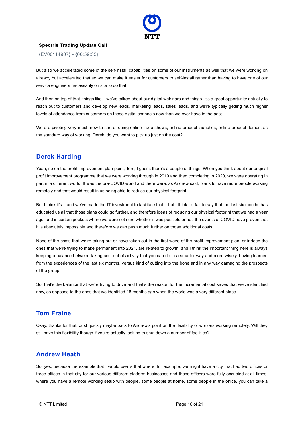

{EV00114907} - {00:59:35}

But also we accelerated some of the self-install capabilities on some of our instruments as well that we were working on already but accelerated that so we can make it easier for customers to self-install rather than having to have one of our service engineers necessarily on site to do that.

And then on top of that, things like – we've talked about our digital webinars and things. It's a great opportunity actually to reach out to customers and develop new leads, marketing leads, sales leads, and we're typically getting much higher levels of attendance from customers on those digital channels now than we ever have in the past.

We are pivoting very much now to sort of doing online trade shows, online product launches, online product demos, as the standard way of working. Derek, do you want to pick up just on the cost?

#### **Derek Harding**

Yeah, so on the profit improvement plan point, Tom, I guess there's a couple of things. When you think about our original profit improvement programme that we were working through in 2019 and then completing in 2020, we were operating in part in a different world. It was the pre-COVID world and there were, as Andrew said, plans to have more people working remotely and that would result in us being able to reduce our physical footprint.

But I think it's – and we've made the IT investment to facilitate that – but I think it's fair to say that the last six months has educated us all that those plans could go further, and therefore ideas of reducing our physical footprint that we had a year ago, and in certain pockets where we were not sure whether it was possible or not, the events of COVID have proven that it is absolutely impossible and therefore we can push much further on those additional costs.

None of the costs that we're taking out or have taken out in the first wave of the profit improvement plan, or indeed the ones that we're trying to make permanent into 2021, are related to growth, and I think the important thing here is always keeping a balance between taking cost out of activity that you can do in a smarter way and more wisely, having learned from the experiences of the last six months, versus kind of cutting into the bone and in any way damaging the prospects of the group.

So, that's the balance that we're trying to drive and that's the reason for the incremental cost saves that we've identified now, as opposed to the ones that we identified 18 months ago when the world was a very different place.

## **Tom Fraine**

Okay, thanks for that. Just quickly maybe back to Andrew's point on the flexibility of workers working remotely. Will they still have this flexibility though if you're actually looking to shut down a number of facilities?

## **Andrew Heath**

So, yes, because the example that I would use is that where, for example, we might have a city that had two offices or three offices in that city for our various different platform businesses and those officers were fully occupied at all times, where you have a remote working setup with people, some people at home, some people in the office, you can take a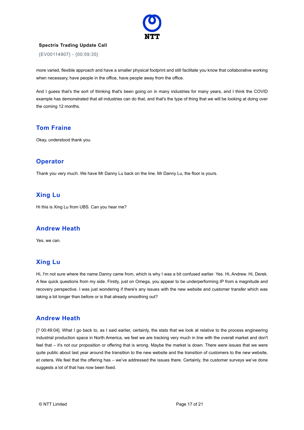

{EV00114907} - {00:59:35}

more varied, flexible approach and have a smaller physical footprint and still facilitate you know that collaborative working when necessary, have people in the office, have people away from the office.

And I guess that's the sort of thinking that's been going on in many industries for many years, and I think the COVID example has demonstrated that all industries can do that, and that's the type of thing that we will be looking at doing over the coming 12 months.

#### **Tom Fraine**

Okay, understood thank you.

#### **Operator**

Thank you very much. We have Mr Danny Lu back on the line. Mr Danny Lu, the floor is yours.

#### **Xing Lu**

Hi this is Xing Lu from UBS. Can you hear me?

#### **Andrew Heath**

Yes, we can.

## **Xing Lu**

Hi, I'm not sure where the name Danny came from, which is why I was a bit confused earlier. Yes. Hi, Andrew. Hi, Derek. A few quick questions from my side. Firstly, just on Omega, you appear to be underperforming IP from a magnitude and recovery perspective. I was just wondering if there's any issues with the new website and customer transfer which was taking a bit longer than before or is that already smoothing out?

#### **Andrew Heath**

[? 00:49:04]. What I go back to, as I said earlier, certainly, the stats that we look at relative to the process engineering industrial production space in North America, we feel we are tracking very much in line with the overall market and don't feel that – it's not our proposition or offering that is wrong. Maybe the market is down. There were issues that we were quite public about last year around the transition to the new website and the transition of customers to the new website, et cetera. We feel that the offering has – we've addressed the issues there. Certainly, the customer surveys we've done suggests a lot of that has now been fixed.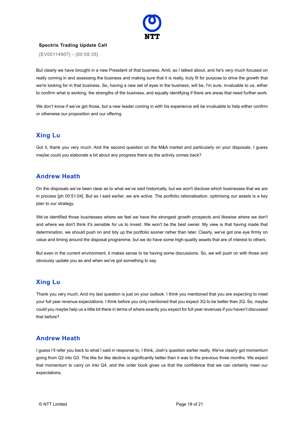

{EV00114907} - {00:59:35}

But clearly we have brought in a new President of that business, Amit, as I talked about, and he's very much focused on really coming in and assessing the business and making sure that it is really, truly fit for purpose to drive the growth that we're looking for in that business. So, having a new set of eyes in the business, will be, I'm sure, invaluable to us, either to confirm what is working, the strengths of the business, and equally identifying if there are areas that need further work.

We don't know if we've got those, but a new leader coming in with his experience will be invaluable to help either confirm or otherwise our proposition and our offering.

## **Xing Lu**

Got it, thank you very much. And the second question on the M&A market and particularly on your disposals. I guess maybe could you elaborate a bit about any progress there as the activity comes back?

#### **Andrew Heath**

On the disposals we've been clear as to what we've said historically, but we won't disclose which businesses that we are in process [ph 00:51:04]. But as I said earlier, we are active. The portfolio rationalisation, optimising our assets is a key plan to our strategy.

We've identified those businesses where we feel we have the strongest growth prospects and likewise where we don't and where we don't think it's sensible for us to invest. We won't be the best owner. My view is that having made that determination, we should push on and tidy up the portfolio sooner rather than later. Clearly, we've got one eye firmly on value and timing around the disposal programme, but we do have some high-quality assets that are of interest to others.

But even in the current environment, it makes sense to be having some discussions. So, we will push on with those and obviously update you as and when we've got something to say.

## **Xing Lu**

Thank you very much. And my last question is just on your outlook. I think you mentioned that you are expecting to meet your full year revenue expectations. I think before you only mentioned that you expect 3Q to be better than 2Q. So, maybe could you maybe help us a little bit there in terms of where exactly you expect for full year revenues if you haven't discussed that before?

## **Andrew Heath**

I guess I'll refer you back to what I said in response to, I think, Josh's question earlier really. We've clearly got momentum going from Q2 into Q3. The like for like decline is significantly better than it was to the previous three months. We expect that momentum to carry on into Q4, and the order book gives us that the confidence that we can certainly meet our expectations.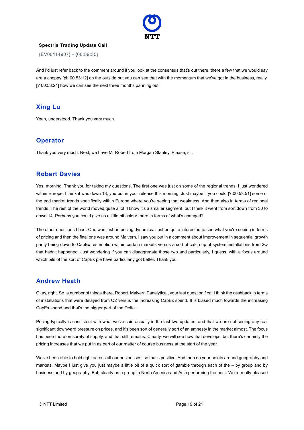

{EV00114907} - {00:59:35}

And I'd just refer back to the comment around if you look at the consensus that's out there, there a few that we would say are a choppy [ph 00:53:12] on the outside but you can see that with the momentum that we've got in the business, really, [? 00:53:21] how we can see the next three months panning out.

## **Xing Lu**

Yeah, understood. Thank you very much.

## **Operator**

Thank you very much. Next, we have Mr Robert from Morgan Stanley. Please, sir.

#### **Robert Davies**

Yes, morning. Thank you for taking my questions. The first one was just on some of the regional trends. I just wondered within Europe, I think it was down 13, you put in your release this morning. Just maybe if you could [? 00:53:51] some of the end market trends specifically within Europe where you're seeing that weakness. And then also in terms of regional trends. The rest of the world moved quite a lot. I know it's a smaller segment, but I think it went from sort down from 30 to down 14. Perhaps you could give us a little bit colour there in terms of what's changed?

The other questions I had. One was just on pricing dynamics. Just be quite interested to see what you're seeing in terms of pricing and then the final one was around Malvern. I saw you put in a comment about improvement in sequential growth partly being down to CapEx resumption within certain markets versus a sort of catch up of system installations from 2Q that hadn't happened. Just wondering if you can disaggregate those two and particularly, I guess, with a focus around which bits of the sort of CapEx pie have particularly got better. Thank you.

#### **Andrew Heath**

Okay, right. So, a number of things there, Robert. Malvern Panalytical, your last question first. I think the cashback in terms of installations that were delayed from Q2 versus the increasing CapEx spend. It is biased much towards the increasing CapEx spend and that's the bigger part of the Delta.

Pricing typically is consistent with what we've said actually in the last two updates, and that we are not seeing any real significant downward pressure on prices, and it's been sort of generally sort of an amnesty in the market almost. The focus has been more on surety of supply, and that still remains. Clearly, we will see how that develops, but there's certainly the pricing increases that we put in as part of our matter of course business at the start of the year.

We've been able to hold right across all our businesses, so that's positive. And then on your points around geography and markets. Maybe I just give you just maybe a little bit of a quick sort of gamble through each of the – by group and by business and by geography. But, clearly as a group in North America and Asia performing the best. We're really pleased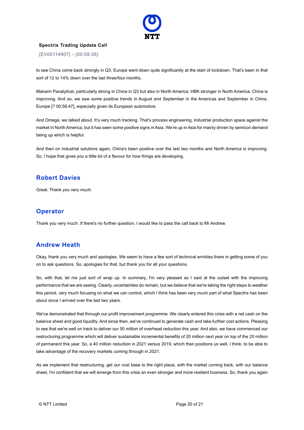

{EV00114907} - {00:59:35}

to see China come back strongly in Q3. Europe went down quite significantly at the start of lockdown. That's been in that sort of 12 to 14% down over the last three/four months.

Malvern Panalytical, particularly strong in China in Q3 but also in North America. HBK stronger in North America. China is improving. And so, we saw some positive trends in August and September in the Americas and September in China. Europe [? 00:56:47], especially given its European automotive.

And Omega, we talked about. It's very much tracking. That's process engineering, industrial production space against the market in North America, but it has seen some positive signs in Asia. We're up in Asia for mainly driven by semicon demand being up which is helpful.

And then on industrial solutions again, China's been positive over the last two months and North America is improving. So, I hope that gives you a little bit of a flavour for how things are developing.

#### **Robert Davies**

Great. Thank you very much.

#### **Operator**

Thank you very much. If there's no further question, I would like to pass the call back to Mr Andrew.

#### **Andrew Heath**

Okay, thank you very much and apologies. We seem to have a few sort of technical wrinkles there in getting some of you on to ask questions. So, apologies for that, but thank you for all your questions.

So, with that, let me just sort of wrap up. In summary, I'm very pleased as I said at the outset with the improving performance that we are seeing. Clearly, uncertainties do remain, but we believe that we're taking the right steps to weather this period, very much focusing on what we can control, which I think has been very much part of what Spectris has been about since I arrived over the last two years.

We've demonstrated that through our profit improvement programme. We clearly entered this crisis with a net cash on the balance sheet and good liquidity. And since then, we've continued to generate cash and take further cost actions. Pleasing to see that we're well on track to deliver our 50 million of overhead reduction this year. And also, we have commenced our restructuring programme which will deliver sustainable incremental benefits of 20 million next year on top of the 20 million of permanent this year. So, a 40 million reduction in 2021 versus 2019, which then positions us well, I think, to be able to take advantage of the recovery markets coming through in 2021.

As we implement that restructuring, get our cost base to the right place, with the market coming back, with our balance sheet, I'm confident that we will emerge from this crisis an even stronger and more resilient business. So, thank you again